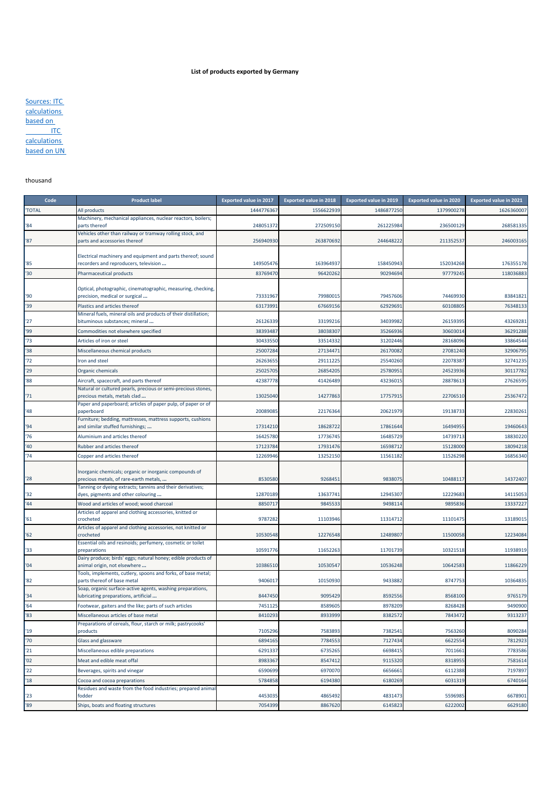## **List of products exported by Germany**

| Sources: ITC        |
|---------------------|
| <b>calculations</b> |
| based on            |
|                     |
| ITC.                |
| calculations        |
| based on UN         |

## thousand

| Code          | <b>Product label</b>                                                                                 | <b>Exported value in 2017</b> | <b>Exported value in 2018</b> | <b>Exported value in 2019</b> | <b>Exported value in 2020</b> | <b>Exported value in 2021</b> |
|---------------|------------------------------------------------------------------------------------------------------|-------------------------------|-------------------------------|-------------------------------|-------------------------------|-------------------------------|
| <b>TOTAL</b>  | All products                                                                                         | 144477636                     | 1556622939                    | 1486877250                    | 1379900278                    | 1626360007                    |
|               | Machinery, mechanical appliances, nuclear reactors, boilers;                                         |                               |                               |                               |                               |                               |
| '84           | parts thereof<br>Vehicles other than railway or tramway rolling stock, and                           | 248051372                     | 272509150                     | 261225984                     | 236500129                     | 268581335                     |
| '87           | parts and accessories thereof                                                                        | 256940930                     | 263870692                     | 244648222                     | 211352537                     | 246003165                     |
|               |                                                                                                      |                               |                               |                               |                               |                               |
| '85           | Electrical machinery and equipment and parts thereof; sound<br>recorders and reproducers, television | 149505476                     | 163964937                     | 158450943                     | 152034268                     | 176355178                     |
| '30           | Pharmaceutical products                                                                              | 83769470                      | 96420262                      | 9029469                       | 97779245                      | 118036883                     |
|               |                                                                                                      |                               |                               |                               |                               |                               |
| '90           | Optical, photographic, cinematographic, measuring, checking,                                         | 73331967                      | 79980015                      | 79457606                      | 74469930                      | 83841821                      |
| '39           | precision, medical or surgical<br>Plastics and articles thereof                                      | 63173991                      | 67669156                      | 6292969                       | 60108805                      | 76348133                      |
|               | Mineral fuels, mineral oils and products of their distillation;                                      |                               |                               |                               |                               |                               |
| 27            | bituminous substances; mineral                                                                       | 26126339                      | 33199216                      | 34039982                      | 26159395                      | 43269281                      |
| '99           | Commodities not elsewhere specified                                                                  | 38393487                      | 38038307                      | 35266936                      | 30603014                      | 36291288                      |
| 73            | Articles of iron or steel                                                                            | 30433550                      | 33514332                      | 31202446                      | 28168096                      | 33864544                      |
| '38           | Miscellaneous chemical products                                                                      | 25007284                      | 27134471                      | 2617008                       | 27081240                      | 32906795                      |
| 72            | Iron and steel                                                                                       | 2626365                       | 29111225                      | 2554026                       | 22078387                      | 32741235                      |
| '29           | Organic chemicals                                                                                    | 25025705                      | 26854205                      | 2578095                       | 24523936                      | 30117782                      |
| 88            | Aircraft, spacecraft, and parts thereof                                                              | 42387778                      | 41426489                      | 4323601                       | 28878613                      | 27626595                      |
| '71           | Natural or cultured pearls, precious or semi-precious stones,<br>precious metals, metals clad        | 13025040                      | 14277863                      | 1775791                       | 22706510                      | 25367472                      |
| '48           | Paper and paperboard; articles of paper pulp, of paper or of<br>paperboard                           | 20089085                      | 22176364                      | 20621979                      | 19138733                      | 22830261                      |
|               | Furniture; bedding, mattresses, mattress supports, cushions                                          |                               |                               |                               |                               |                               |
| '94           | and similar stuffed furnishings;                                                                     | 17314210                      | 18628722                      | 17861644                      | 16494955                      | 19460643                      |
| '76           | Aluminium and articles thereof                                                                       | 16425780                      | 17736745                      | 16485729                      | 14739713                      | 18830220                      |
| '40           | Rubber and articles thereof                                                                          | 17123784                      | 17931476                      | 1659871                       | 15128000                      | 18094218                      |
| 74            | Copper and articles thereof                                                                          | 12269946                      | 13252150                      | 11561182                      | 11526298                      | 16856340                      |
|               | Inorganic chemicals; organic or inorganic compounds of                                               |                               |                               |                               |                               |                               |
| '28           | precious metals, of rare-earth metals,                                                               | 8530580                       | 9268451                       | 9838075                       | 10488117                      | 14372407                      |
|               | Tanning or dyeing extracts; tannins and their derivatives;                                           |                               |                               |                               |                               |                               |
| '32<br>44     | dyes, pigments and other colouring                                                                   | 12870189<br>885071            | 13637741                      | 12945307<br>949811            | 12229683<br>9895836           | 14115053<br>13337227          |
|               | Wood and articles of wood; wood charcoal<br>Articles of apparel and clothing accessories, knitted or |                               | 9845533                       |                               |                               |                               |
| '61           | crocheted                                                                                            | 9787282                       | 11103946                      | 11314712                      | 11101475                      | 13189015                      |
| '62           | Articles of apparel and clothing accessories, not knitted or<br>crocheted                            | 10530548                      | 12276548                      | 12489807                      | 11500058                      | 12234084                      |
|               | Essential oils and resinoids; perfumery, cosmetic or toilet                                          |                               |                               |                               |                               |                               |
| '33           | preparations                                                                                         | 10591776                      | 11652263                      | 11701739                      | 10321518                      | 11938919                      |
| '04           | Dairy produce; birds' eggs; natural honey; edible products of<br>animal origin, not elsewhere        | 10386510                      | 10530547                      | 10536248                      | 10642583                      | 11866229                      |
|               | Tools, implements, cutlery, spoons and forks, of base metal;                                         |                               |                               |                               |                               |                               |
| $^{\prime}82$ | parts thereof of base metal                                                                          | 9406017                       | 10150930                      | 9433882                       | 8747753                       | 10364835                      |
| '34           | Soap, organic surface-active agents, washing preparations,<br>lubricating preparations, artificial   | 8447450                       | 9095429                       | 8592556                       | 8568100                       | 9765179                       |
| 164           | Footwear, gaiters and the like; parts of such articles                                               | 7451125                       | 8589605                       | 8978209                       | 8268428                       | 9490900                       |
| 83            | Miscellaneous articles of base metal                                                                 | 8410293                       | 8933999                       | 8382572                       | 7843472                       | 9313237                       |
|               | Preparations of cereals, flour, starch or milk; pastrycooks'                                         |                               |                               |                               |                               |                               |
| '19           | products                                                                                             | 7105296                       | 7583893                       | 738254                        | 7563260                       | 8090284                       |
| '70           | Glass and glassware                                                                                  | 689416                        | 7784553                       | 7127434                       | 6622554                       | 7812923                       |
| '21           | Miscellaneous edible preparations                                                                    | 629133                        | 6735265                       | 669841                        | 7011661                       | 7783586                       |
| '02           | Meat and edible meat offal                                                                           | 8983367                       | 8547412                       | 9115320                       | 8318955                       | 7581614                       |
| 22            | Beverages, spirits and vinegar                                                                       | 6590699                       | 6970070                       | 665666                        | 6112388                       | 7197897                       |
| '18           | Cocoa and cocoa preparations<br>Residues and waste from the food industries; prepared anima          | 5784858                       | 6194380                       | 6180269                       | 6031319                       | 6740164                       |
| 23            | fodder                                                                                               | 4453035                       | 4865492                       | 4831473                       | 5596985                       | 6678901                       |
| '89           | Ships, boats and floating structures                                                                 | 7054399                       | 8867620                       | 6145823                       | 6222002                       | 6629180                       |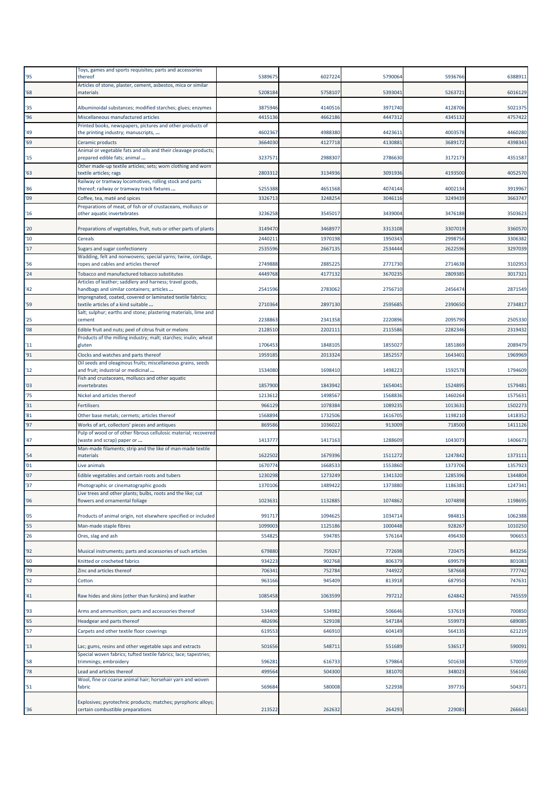| '95 | Toys, games and sports requisites; parts and accessories<br>thereof                                                         | 5389675 | 6027224 | 5790064 | 5936766 | 6388911 |
|-----|-----------------------------------------------------------------------------------------------------------------------------|---------|---------|---------|---------|---------|
|     | Articles of stone, plaster, cement, asbestos, mica or similar                                                               |         |         |         |         |         |
| '68 | materials                                                                                                                   | 5208184 | 5758107 | 539304  | 5263721 | 6016129 |
| '35 | Albuminoidal substances; modified starches; glues; enzymes                                                                  | 3875946 | 4140516 | 3971740 | 4128706 | 5021375 |
| 96' | Miscellaneous manufactured articles                                                                                         | 4415136 | 4662186 | 4447312 | 4345132 | 4757422 |
| '49 | Printed books, newspapers, pictures and other products of<br>the printing industry; manuscripts,                            | 4602367 | 4988380 | 4423611 | 4003578 | 4460280 |
| '69 | Ceramic products                                                                                                            | 3664030 | 4127718 | 4130883 | 3689172 | 4398343 |
| '15 | Animal or vegetable fats and oils and their cleavage products;<br>prepared edible fats; animal                              | 3237571 | 2988307 | 2786630 | 3172173 | 4351587 |
|     | Other made-up textile articles; sets; worn clothing and worn                                                                |         |         |         |         |         |
| '63 | textile articles; rags<br>Railway or tramway locomotives, rolling stock and parts                                           | 2803312 | 3134936 | 3091936 | 4193500 | 4052570 |
| '86 | thereof; railway or tramway track fixtures                                                                                  | 5255388 | 4651568 | 4074144 | 4002134 | 3919967 |
| '09 | Coffee, tea, maté and spices                                                                                                | 3326713 | 3248254 | 3046116 | 3249439 | 3663747 |
| '16 | Preparations of meat, of fish or of crustaceans, molluscs or<br>other aquatic invertebrates                                 | 3236258 | 3545017 | 3439004 | 3476188 | 3503623 |
| '20 | Preparations of vegetables, fruit, nuts or other parts of plants                                                            | 3149470 | 3468977 | 3313108 | 3307019 | 3360570 |
| '10 | Cereals                                                                                                                     | 2440211 | 1970198 | 1950343 | 2998756 | 3306382 |
| 17  | Sugars and sugar confectionery                                                                                              | 2535596 | 2667135 | 2534444 | 2622596 | 3297039 |
|     | Wadding, felt and nonwovens; special yarns; twine, cordage,                                                                 |         |         |         |         |         |
| '56 | ropes and cables and articles thereof                                                                                       | 2749888 | 2885225 | 2771730 | 2714638 | 3102953 |
| '24 | Tobacco and manufactured tobacco substitutes                                                                                | 4449768 | 4177132 | 3670235 | 2809385 | 3017321 |
| '42 | Articles of leather; saddlery and harness; travel goods,<br>handbags and similar containers; articles                       | 2541596 | 2783062 | 2756710 | 2456474 | 2871549 |
|     | Impregnated, coated, covered or laminated textile fabrics;                                                                  |         |         |         |         |         |
| '59 | textile articles of a kind suitable<br>Salt; sulphur; earths and stone; plastering materials, lime and                      | 2710364 | 2897130 | 259568  | 2390650 | 2734817 |
| '25 | cement                                                                                                                      | 2238863 | 2341358 | 2220896 | 2095790 | 2505330 |
| 08  | Edible fruit and nuts; peel of citrus fruit or melons<br>Products of the milling industry; malt; starches; inulin; wheat    | 2128510 | 2202111 | 2115586 | 2282346 | 2319432 |
| '11 | gluten                                                                                                                      | 1706453 | 1848105 | 1855027 | 1851869 | 2089479 |
| 91  | Clocks and watches and parts thereof                                                                                        | 1959185 | 2013324 | 1852557 | 164340: | 1969969 |
| '12 | Oil seeds and oleaginous fruits; miscellaneous grains, seeds<br>and fruit; industrial or medicinal                          | 1534080 | 1698410 | 1498223 | 1592578 | 1794609 |
| '03 | Fish and crustaceans, molluscs and other aquatic<br>invertebrates                                                           | 1857900 | 1843942 | 1654041 | 1524895 | 1579481 |
| '75 | Nickel and articles thereof                                                                                                 | 1213612 | 1498567 | 1568836 | 1460264 | 1575631 |
| '31 | Fertilisers                                                                                                                 | 966129  | 1078384 | 1089235 | 101363: | 1502273 |
| '81 | Other base metals; cermets; articles thereof                                                                                | 1568894 | 1732506 | 1616705 | 1198210 | 1418352 |
| '97 | Works of art, collectors' pieces and antiques                                                                               | 869586  | 1036022 | 913009  | 71850   | 1411126 |
|     | Pulp of wood or of other fibrous cellulosic material; recovered                                                             |         |         |         |         |         |
| '47 | (waste and scrap) paper or<br>Man-made filaments; strip and the like of man-made textile                                    | 1413777 | 1417163 | 1288609 | 1043073 | 1406673 |
| '54 | materials                                                                                                                   | 1622502 | 1679396 | 1511272 | 1247842 | 1373111 |
| '01 | Live animals                                                                                                                | 1670774 | 1668533 | 1553860 | 1373706 | 1357923 |
| '07 | Edible vegetables and certain roots and tubers                                                                              | 1230298 | 1273249 | 1341320 | 1285396 | 1344804 |
| '37 | Photographic or cinematographic goods                                                                                       | 1370106 | 1489422 | 1373880 | 1186381 | 1247341 |
| '06 | Live trees and other plants; bulbs, roots and the like; cut<br>flowers and ornamental foliage                               | 102363: | 1132885 | 1074862 | 1074898 | 1198695 |
|     |                                                                                                                             |         |         |         |         |         |
| '05 | Products of animal origin, not elsewhere specified or included                                                              | 991717  | 1094625 | 1034714 | 984815  | 1062388 |
| '55 | Man-made staple fibres                                                                                                      | 1099003 | 1125186 | 1000448 | 928267  | 1010250 |
| '26 | Ores, slag and ash                                                                                                          | 554825  | 594785  | 576164  | 496430  | 906653  |
| '92 | Musical instruments; parts and accessories of such articles                                                                 | 679880  | 759267  | 772698  | 720475  | 843256  |
| '60 | Knitted or crocheted fabrics                                                                                                | 934223  | 902768  | 806379  | 699579  | 801083  |
| '79 | Zinc and articles thereof                                                                                                   | 706341  | 752784  | 744922  | 587668  | 777742  |
| 52  | Cotton                                                                                                                      | 963166  | 945409  | 813918  | 687950  | 747631  |
| '41 | Raw hides and skins (other than furskins) and leather                                                                       | 1085458 | 1063599 | 797212  | 624842  | 745559  |
| '93 | Arms and ammunition; parts and accessories thereof                                                                          | 534409  | 534982  | 506646  | 537619  | 700850  |
| '65 | Headgear and parts thereof                                                                                                  | 482696  | 529108  | 547184  | 559973  | 689085  |
| '57 | Carpets and other textile floor coverings                                                                                   | 619553  | 646910  | 604149  | 564135  | 621219  |
|     |                                                                                                                             |         |         |         |         |         |
| 13  | Lac; gums, resins and other vegetable saps and extracts<br>Special woven fabrics; tufted textile fabrics; lace; tapestries; | 501656  | 548711  | 551689  | 536517  | 590091  |
| '58 | trimmings; embroidery                                                                                                       | 596281  | 616733  | 579864  | 501638  | 570059  |
| '78 | Lead and articles thereof                                                                                                   | 499564  | 504300  | 381070  | 348023  | 556160  |
| '51 | Wool, fine or coarse animal hair; horsehair yarn and woven<br>fabric                                                        | 569684  | 580008  | 522938  | 397735  | 504371  |
|     |                                                                                                                             |         |         |         |         |         |
| '36 | Explosives; pyrotechnic products; matches; pyrophoric alloys;<br>certain combustible preparations                           | 213522  | 262632  | 264293  | 229081  | 266643  |